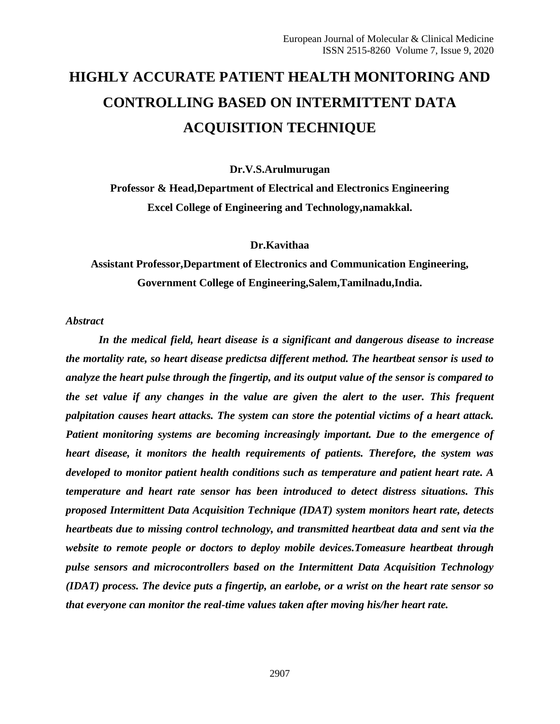# **HIGHLY ACCURATE PATIENT HEALTH MONITORING AND CONTROLLING BASED ON INTERMITTENT DATA ACQUISITION TECHNIQUE**

**Dr.V.S.Arulmurugan**

**Professor & Head,Department of Electrical and Electronics Engineering Excel College of Engineering and Technology,namakkal.**

#### **Dr.Kavithaa**

# **Assistant Professor,Department of Electronics and Communication Engineering, Government College of Engineering,Salem,Tamilnadu,India.**

*Abstract*

*In the medical field, heart disease is a significant and dangerous disease to increase the mortality rate, so heart disease predictsa different method. The heartbeat sensor is used to analyze the heart pulse through the fingertip, and its output value of the sensor is compared to the set value if any changes in the value are given the alert to the user. This frequent palpitation causes heart attacks. The system can store the potential victims of a heart attack. Patient monitoring systems are becoming increasingly important. Due to the emergence of heart disease, it monitors the health requirements of patients. Therefore, the system was developed to monitor patient health conditions such as temperature and patient heart rate. A temperature and heart rate sensor has been introduced to detect distress situations. This proposed Intermittent Data Acquisition Technique (IDAT) system monitors heart rate, detects heartbeats due to missing control technology, and transmitted heartbeat data and sent via the website to remote people or doctors to deploy mobile devices.Tomeasure heartbeat through pulse sensors and microcontrollers based on the Intermittent Data Acquisition Technology (IDAT) process. The device puts a fingertip, an earlobe, or a wrist on the heart rate sensor so that everyone can monitor the real-time values taken after moving his/her heart rate.*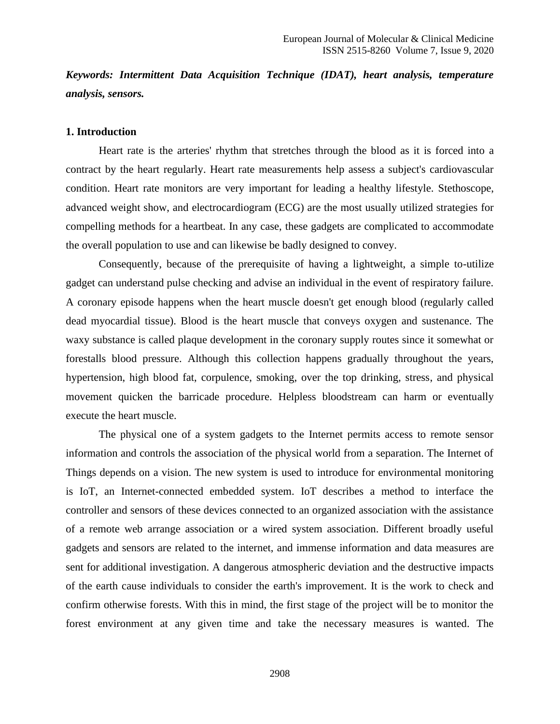*Keywords: Intermittent Data Acquisition Technique (IDAT), heart analysis, temperature analysis, sensors.*

#### **1. Introduction**

Heart rate is the arteries' rhythm that stretches through the blood as it is forced into a contract by the heart regularly. Heart rate measurements help assess a subject's cardiovascular condition. Heart rate monitors are very important for leading a healthy lifestyle. Stethoscope, advanced weight show, and electrocardiogram (ECG) are the most usually utilized strategies for compelling methods for a heartbeat. In any case, these gadgets are complicated to accommodate the overall population to use and can likewise be badly designed to convey.

Consequently, because of the prerequisite of having a lightweight, a simple to-utilize gadget can understand pulse checking and advise an individual in the event of respiratory failure. A coronary episode happens when the heart muscle doesn't get enough blood (regularly called dead myocardial tissue). Blood is the heart muscle that conveys oxygen and sustenance. The waxy substance is called plaque development in the coronary supply routes since it somewhat or forestalls blood pressure. Although this collection happens gradually throughout the years, hypertension, high blood fat, corpulence, smoking, over the top drinking, stress, and physical movement quicken the barricade procedure. Helpless bloodstream can harm or eventually execute the heart muscle.

The physical one of a system gadgets to the Internet permits access to remote sensor information and controls the association of the physical world from a separation. The Internet of Things depends on a vision. The new system is used to introduce for environmental monitoring is IoT, an Internet-connected embedded system. IoT describes a method to interface the controller and sensors of these devices connected to an organized association with the assistance of a remote web arrange association or a wired system association. Different broadly useful gadgets and sensors are related to the internet, and immense information and data measures are sent for additional investigation. A dangerous atmospheric deviation and the destructive impacts of the earth cause individuals to consider the earth's improvement. It is the work to check and confirm otherwise forests. With this in mind, the first stage of the project will be to monitor the forest environment at any given time and take the necessary measures is wanted. The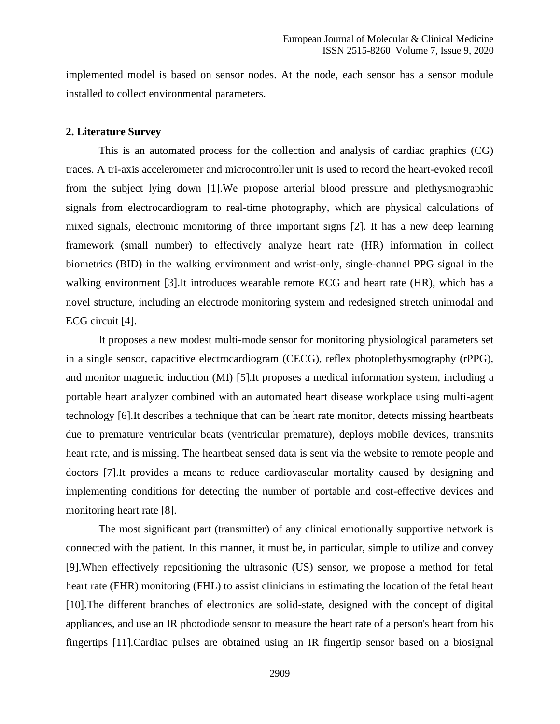implemented model is based on sensor nodes. At the node, each sensor has a sensor module installed to collect environmental parameters.

#### **2. Literature Survey**

This is an automated process for the collection and analysis of cardiac graphics (CG) traces. A tri-axis accelerometer and microcontroller unit is used to record the heart-evoked recoil from the subject lying down [1].We propose arterial blood pressure and plethysmographic signals from electrocardiogram to real-time photography, which are physical calculations of mixed signals, electronic monitoring of three important signs [2]. It has a new deep learning framework (small number) to effectively analyze heart rate (HR) information in collect biometrics (BID) in the walking environment and wrist-only, single-channel PPG signal in the walking environment [3].It introduces wearable remote ECG and heart rate (HR), which has a novel structure, including an electrode monitoring system and redesigned stretch unimodal and ECG circuit [4].

It proposes a new modest multi-mode sensor for monitoring physiological parameters set in a single sensor, capacitive electrocardiogram (CECG), reflex photoplethysmography (rPPG), and monitor magnetic induction (MI) [5].It proposes a medical information system, including a portable heart analyzer combined with an automated heart disease workplace using multi-agent technology [6].It describes a technique that can be heart rate monitor, detects missing heartbeats due to premature ventricular beats (ventricular premature), deploys mobile devices, transmits heart rate, and is missing. The heartbeat sensed data is sent via the website to remote people and doctors [7].It provides a means to reduce cardiovascular mortality caused by designing and implementing conditions for detecting the number of portable and cost-effective devices and monitoring heart rate [8].

The most significant part (transmitter) of any clinical emotionally supportive network is connected with the patient. In this manner, it must be, in particular, simple to utilize and convey [9].When effectively repositioning the ultrasonic (US) sensor, we propose a method for fetal heart rate (FHR) monitoring (FHL) to assist clinicians in estimating the location of the fetal heart [10].The different branches of electronics are solid-state, designed with the concept of digital appliances, and use an IR photodiode sensor to measure the heart rate of a person's heart from his fingertips [11].Cardiac pulses are obtained using an IR fingertip sensor based on a biosignal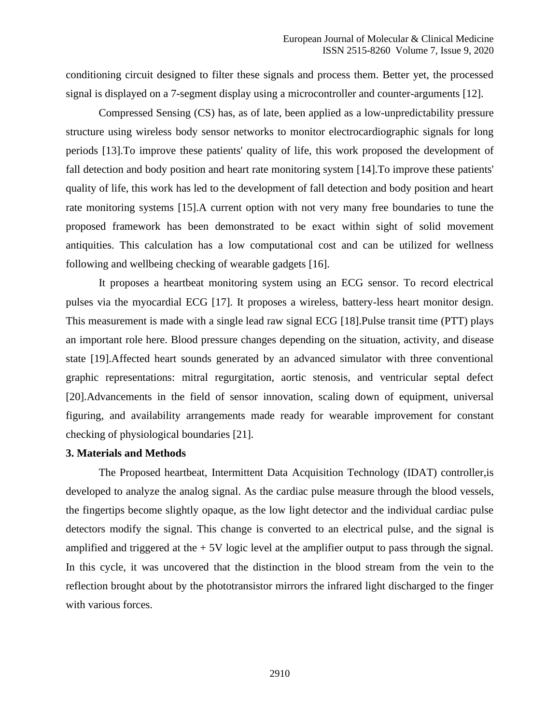conditioning circuit designed to filter these signals and process them. Better yet, the processed signal is displayed on a 7-segment display using a microcontroller and counter-arguments [12].

Compressed Sensing (CS) has, as of late, been applied as a low-unpredictability pressure structure using wireless body sensor networks to monitor electrocardiographic signals for long periods [13].To improve these patients' quality of life, this work proposed the development of fall detection and body position and heart rate monitoring system [14].To improve these patients' quality of life, this work has led to the development of fall detection and body position and heart rate monitoring systems [15].A current option with not very many free boundaries to tune the proposed framework has been demonstrated to be exact within sight of solid movement antiquities. This calculation has a low computational cost and can be utilized for wellness following and wellbeing checking of wearable gadgets [16].

It proposes a heartbeat monitoring system using an ECG sensor. To record electrical pulses via the myocardial ECG [17]. It proposes a wireless, battery-less heart monitor design. This measurement is made with a single lead raw signal ECG [18].Pulse transit time (PTT) plays an important role here. Blood pressure changes depending on the situation, activity, and disease state [19].Affected heart sounds generated by an advanced simulator with three conventional graphic representations: mitral regurgitation, aortic stenosis, and ventricular septal defect [20].Advancements in the field of sensor innovation, scaling down of equipment, universal figuring, and availability arrangements made ready for wearable improvement for constant checking of physiological boundaries [21].

#### **3. Materials and Methods**

The Proposed heartbeat, Intermittent Data Acquisition Technology (IDAT) controller,is developed to analyze the analog signal. As the cardiac pulse measure through the blood vessels, the fingertips become slightly opaque, as the low light detector and the individual cardiac pulse detectors modify the signal. This change is converted to an electrical pulse, and the signal is amplified and triggered at the  $+5V$  logic level at the amplifier output to pass through the signal. In this cycle, it was uncovered that the distinction in the blood stream from the vein to the reflection brought about by the phototransistor mirrors the infrared light discharged to the finger with various forces.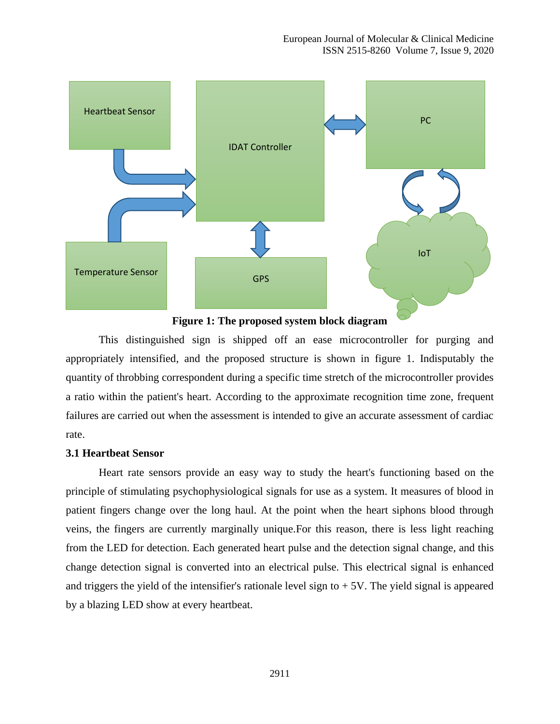

**Figure 1: The proposed system block diagram**

This distinguished sign is shipped off an ease microcontroller for purging and appropriately intensified, and the proposed structure is shown in figure 1. Indisputably the quantity of throbbing correspondent during a specific time stretch of the microcontroller provides a ratio within the patient's heart. According to the approximate recognition time zone, frequent failures are carried out when the assessment is intended to give an accurate assessment of cardiac rate.

#### **3.1 Heartbeat Sensor**

Heart rate sensors provide an easy way to study the heart's functioning based on the principle of stimulating psychophysiological signals for use as a system. It measures of blood in patient fingers change over the long haul. At the point when the heart siphons blood through veins, the fingers are currently marginally unique.For this reason, there is less light reaching from the LED for detection. Each generated heart pulse and the detection signal change, and this change detection signal is converted into an electrical pulse. This electrical signal is enhanced and triggers the yield of the intensifier's rationale level sign to  $+5V$ . The yield signal is appeared by a blazing LED show at every heartbeat.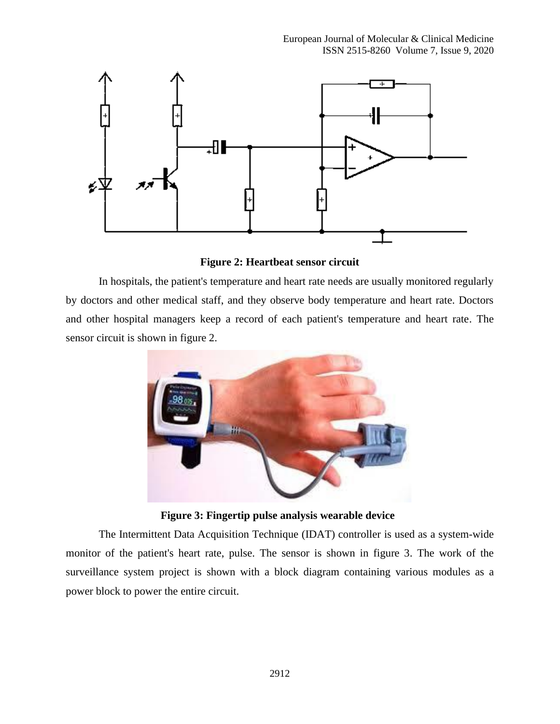

**Figure 2: Heartbeat sensor circuit**

In hospitals, the patient's temperature and heart rate needs are usually monitored regularly by doctors and other medical staff, and they observe body temperature and heart rate. Doctors and other hospital managers keep a record of each patient's temperature and heart rate. The sensor circuit is shown in figure 2.



**Figure 3: Fingertip pulse analysis wearable device**

The Intermittent Data Acquisition Technique (IDAT) controller is used as a system-wide monitor of the patient's heart rate, pulse. The sensor is shown in figure 3. The work of the surveillance system project is shown with a block diagram containing various modules as a power block to power the entire circuit.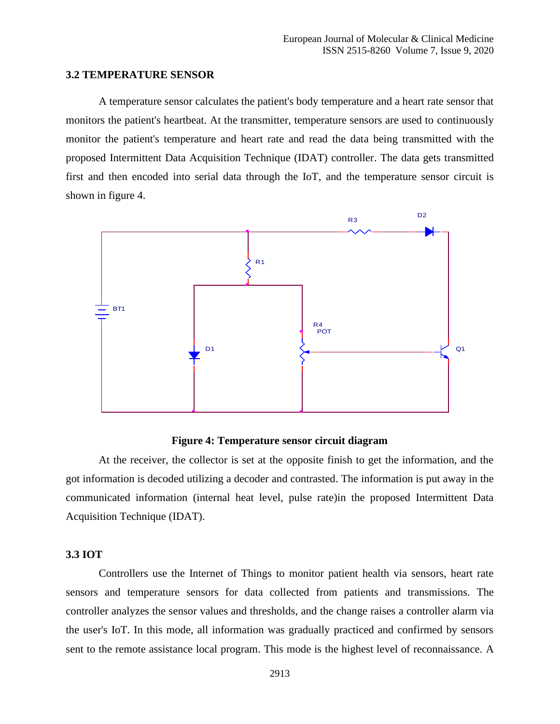#### **3.2 TEMPERATURE SENSOR**

A temperature sensor calculates the patient's body temperature and a heart rate sensor that monitors the patient's heartbeat. At the transmitter, temperature sensors are used to continuously monitor the patient's temperature and heart rate and read the data being transmitted with the proposed Intermittent Data Acquisition Technique (IDAT) controller. The data gets transmitted first and then encoded into serial data through the IoT, and the temperature sensor circuit is shown in figure 4.



#### **Figure 4: Temperature sensor circuit diagram**

At the receiver, the collector is set at the opposite finish to get the information, and the got information is decoded utilizing a decoder and contrasted. The information is put away in the communicated information (internal heat level, pulse rate)in the proposed Intermittent Data Acquisition Technique (IDAT).

#### **3.3 IOT**

Controllers use the Internet of Things to monitor patient health via sensors, heart rate sensors and temperature sensors for data collected from patients and transmissions. The controller analyzes the sensor values and thresholds, and the change raises a controller alarm via the user's IoT. In this mode, all information was gradually practiced and confirmed by sensors sent to the remote assistance local program. This mode is the highest level of reconnaissance. A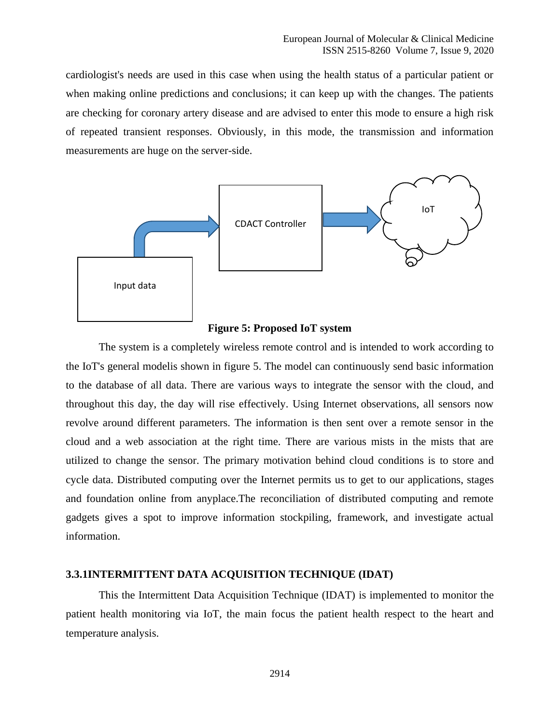cardiologist's needs are used in this case when using the health status of a particular patient or when making online predictions and conclusions; it can keep up with the changes. The patients are checking for coronary artery disease and are advised to enter this mode to ensure a high risk of repeated transient responses. Obviously, in this mode, the transmission and information measurements are huge on the server-side.



#### **Figure 5: Proposed IoT system**

The system is a completely wireless remote control and is intended to work according to the IoT's general modelis shown in figure 5. The model can continuously send basic information to the database of all data. There are various ways to integrate the sensor with the cloud, and throughout this day, the day will rise effectively. Using Internet observations, all sensors now revolve around different parameters. The information is then sent over a remote sensor in the cloud and a web association at the right time. There are various mists in the mists that are utilized to change the sensor. The primary motivation behind cloud conditions is to store and cycle data. Distributed computing over the Internet permits us to get to our applications, stages and foundation online from anyplace.The reconciliation of distributed computing and remote gadgets gives a spot to improve information stockpiling, framework, and investigate actual information.

#### **3.3.1INTERMITTENT DATA ACQUISITION TECHNIQUE (IDAT)**

This the Intermittent Data Acquisition Technique (IDAT) is implemented to monitor the patient health monitoring via IoT, the main focus the patient health respect to the heart and temperature analysis.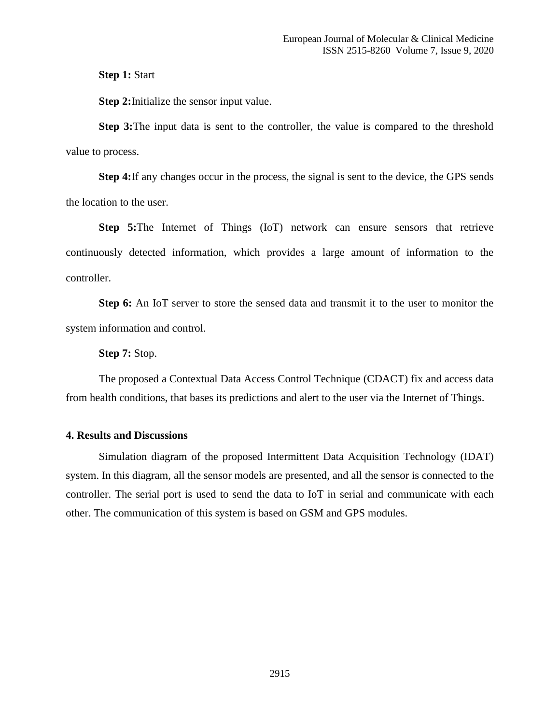**Step 1: Start** 

**Step 2:**Initialize the sensor input value.

**Step 3:**The input data is sent to the controller, the value is compared to the threshold value to process.

**Step 4:**If any changes occur in the process, the signal is sent to the device, the GPS sends the location to the user.

**Step 5:**The Internet of Things (IoT) network can ensure sensors that retrieve continuously detected information, which provides a large amount of information to the controller.

**Step 6:** An IoT server to store the sensed data and transmit it to the user to monitor the system information and control.

**Step 7:** Stop.

The proposed a Contextual Data Access Control Technique (CDACT) fix and access data from health conditions, that bases its predictions and alert to the user via the Internet of Things.

#### **4. Results and Discussions**

Simulation diagram of the proposed Intermittent Data Acquisition Technology (IDAT) system. In this diagram, all the sensor models are presented, and all the sensor is connected to the controller. The serial port is used to send the data to IoT in serial and communicate with each other. The communication of this system is based on GSM and GPS modules.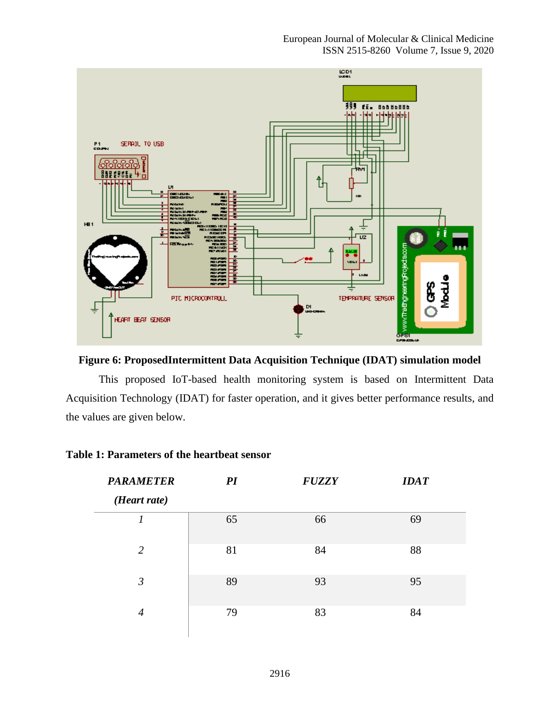

**Figure 6: ProposedIntermittent Data Acquisition Technique (IDAT) simulation model**

This proposed IoT-based health monitoring system is based on Intermittent Data Acquisition Technology (IDAT) for faster operation, and it gives better performance results, and the values are given below.

| <b>PARAMETER</b><br>(Heart rate) | PI | <b>FUZZY</b> | <b>IDAT</b> |
|----------------------------------|----|--------------|-------------|
| 1                                | 65 | 66           | 69          |
| 2                                | 81 | 84           | 88          |
| $\mathfrak{Z}$                   | 89 | 93           | 95          |
| 4                                | 79 | 83           | 84          |

## **Table 1: Parameters of the heartbeat sensor**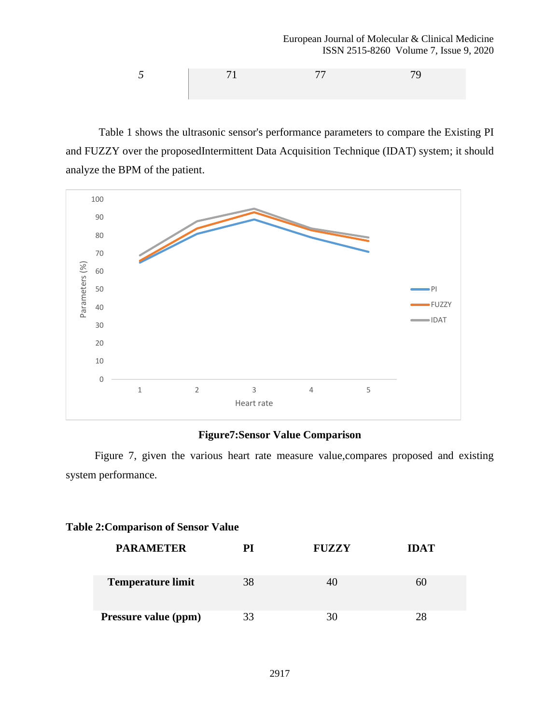European Journal of Molecular & Clinical Medicine ISSN 2515-8260 Volume 7, Issue 9, 2020

$$
5 \t\t 71 \t\t 77 \t\t 79
$$

Table 1 shows the ultrasonic sensor's performance parameters to compare the Existing PI and FUZZY over the proposedIntermittent Data Acquisition Technique (IDAT) system; it should analyze the BPM of the patient.



# **Figure7:Sensor Value Comparison**

Figure 7, given the various heart rate measure value,compares proposed and existing system performance.

#### **Table 2:Comparison of Sensor Value**

| <b>PARAMETER</b>         | РI | <b>FUZZY</b> | <b>IDAT</b> |
|--------------------------|----|--------------|-------------|
| <b>Temperature limit</b> | 38 |              | 60          |
| Pressure value (ppm)     | 33 | 30           | 28          |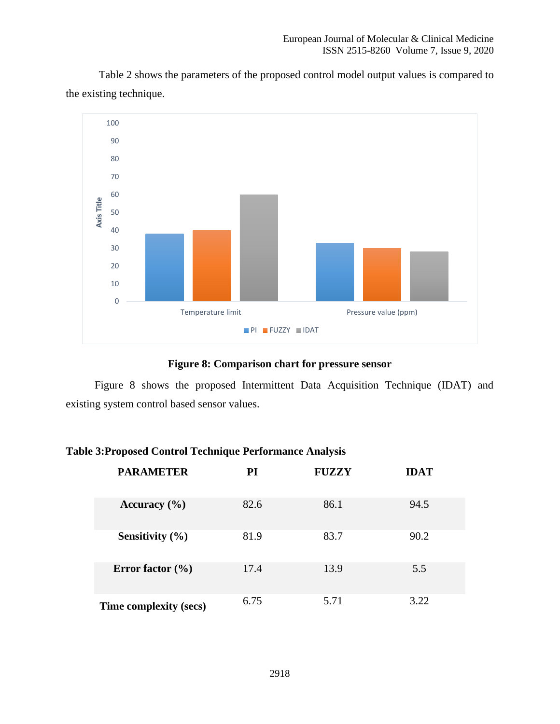Table 2 shows the parameters of the proposed control model output values is compared to the existing technique.



### **Figure 8: Comparison chart for pressure sensor**

Figure 8 shows the proposed Intermittent Data Acquisition Technique (IDAT) and existing system control based sensor values.

## **Table 3:Proposed Control Technique Performance Analysis**

| <b>PARAMETER</b>       | PI   | <b>FUZZY</b> | <b>IDAT</b> |
|------------------------|------|--------------|-------------|
| Accuracy $(\% )$       | 82.6 | 86.1         | 94.5        |
| Sensitivity $(\% )$    | 81.9 | 83.7         | 90.2        |
| Error factor $(\% )$   | 17.4 | 13.9         | 5.5         |
| Time complexity (secs) | 6.75 | 5.71         | 3.22        |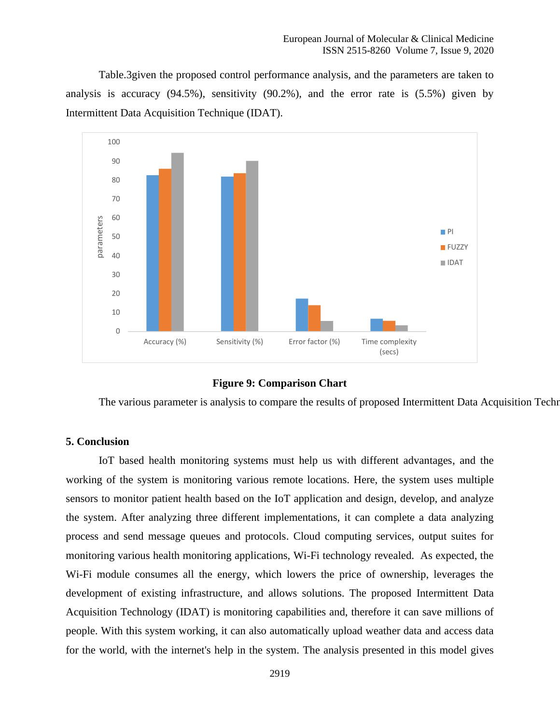Table.3given the proposed control performance analysis, and the parameters are taken to analysis is accuracy (94.5%), sensitivity (90.2%), and the error rate is (5.5%) given by Intermittent Data Acquisition Technique (IDAT).



**Figure 9: Comparison Chart**

The various parameter is analysis to compare the results of proposed Intermittent Data Acquisition Techn

#### **5. Conclusion**

IoT based health monitoring systems must help us with different advantages, and the working of the system is monitoring various remote locations. Here, the system uses multiple sensors to monitor patient health based on the IoT application and design, develop, and analyze the system. After analyzing three different implementations, it can complete a data analyzing process and send message queues and protocols. Cloud computing services, output suites for monitoring various health monitoring applications, Wi-Fi technology revealed. As expected, the Wi-Fi module consumes all the energy, which lowers the price of ownership, leverages the development of existing infrastructure, and allows solutions. The proposed Intermittent Data Acquisition Technology (IDAT) is monitoring capabilities and, therefore it can save millions of people. With this system working, it can also automatically upload weather data and access data for the world, with the internet's help in the system. The analysis presented in this model gives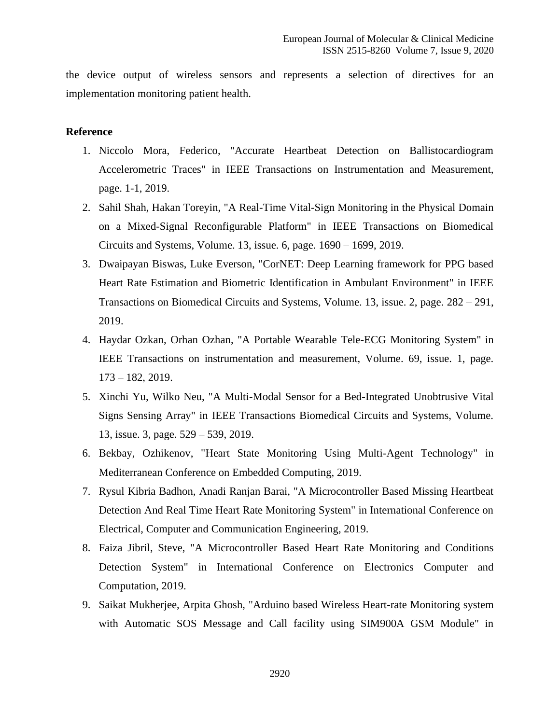the device output of wireless sensors and represents a selection of directives for an implementation monitoring patient health.

#### **Reference**

- 1. Niccolo Mora, Federico, "Accurate Heartbeat Detection on Ballistocardiogram Accelerometric Traces" in IEEE Transactions on Instrumentation and Measurement, page. 1-1, 2019.
- 2. Sahil Shah, Hakan Toreyin, "A Real-Time Vital-Sign Monitoring in the Physical Domain on a Mixed-Signal Reconfigurable Platform" in IEEE Transactions on Biomedical Circuits and Systems, Volume. 13, issue. 6, page. 1690 – 1699, 2019.
- 3. Dwaipayan Biswas, Luke Everson, "CorNET: Deep Learning framework for PPG based Heart Rate Estimation and Biometric Identification in Ambulant Environment" in IEEE Transactions on Biomedical Circuits and Systems, Volume. 13, issue. 2, page. 282 – 291, 2019.
- 4. Haydar Ozkan, Orhan Ozhan, "A Portable Wearable Tele-ECG Monitoring System" in IEEE Transactions on instrumentation and measurement, Volume. 69, issue. 1, page. 173 – 182, 2019.
- 5. Xinchi Yu, Wilko Neu, "A Multi-Modal Sensor for a Bed-Integrated Unobtrusive Vital Signs Sensing Array" in IEEE Transactions Biomedical Circuits and Systems, Volume. 13, issue. 3, page. 529 – 539, 2019.
- 6. Bekbay, Ozhikenov, "Heart State Monitoring Using Multi-Agent Technology" in Mediterranean Conference on Embedded Computing, 2019.
- 7. Rysul Kibria Badhon, Anadi Ranjan Barai, "A Microcontroller Based Missing Heartbeat Detection And Real Time Heart Rate Monitoring System" in International Conference on Electrical, Computer and Communication Engineering, 2019.
- 8. Faiza Jibril, Steve, "A Microcontroller Based Heart Rate Monitoring and Conditions Detection System" in International Conference on Electronics Computer and Computation, 2019.
- 9. Saikat Mukherjee, Arpita Ghosh, "Arduino based Wireless Heart-rate Monitoring system with Automatic SOS Message and Call facility using SIM900A GSM Module" in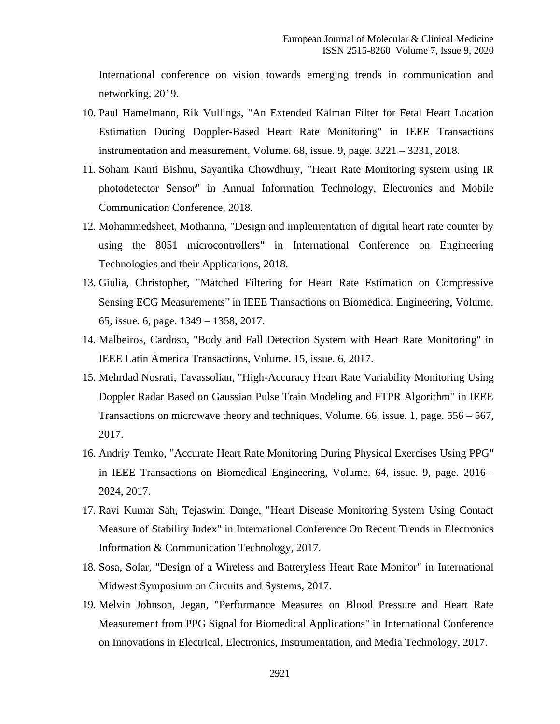International conference on vision towards emerging trends in communication and networking, 2019.

- 10. Paul Hamelmann, Rik Vullings, "An Extended Kalman Filter for Fetal Heart Location Estimation During Doppler-Based Heart Rate Monitoring" in IEEE Transactions instrumentation and measurement, Volume. 68, issue. 9, page. 3221 – 3231, 2018.
- 11. Soham Kanti Bishnu, Sayantika Chowdhury, "Heart Rate Monitoring system using IR photodetector Sensor" in Annual Information Technology, Electronics and Mobile Communication Conference, 2018.
- 12. Mohammedsheet, Mothanna, "Design and implementation of digital heart rate counter by using the 8051 microcontrollers" in International Conference on Engineering Technologies and their Applications, 2018.
- 13. Giulia, Christopher, "Matched Filtering for Heart Rate Estimation on Compressive Sensing ECG Measurements" in IEEE Transactions on Biomedical Engineering, Volume. 65, issue. 6, page. 1349 – 1358, 2017.
- 14. Malheiros, Cardoso, "Body and Fall Detection System with Heart Rate Monitoring" in IEEE Latin America Transactions, Volume. 15, issue. 6, 2017.
- 15. Mehrdad Nosrati, Tavassolian, "High-Accuracy Heart Rate Variability Monitoring Using Doppler Radar Based on Gaussian Pulse Train Modeling and FTPR Algorithm" in IEEE Transactions on microwave theory and techniques, Volume. 66, issue. 1, page. 556 – 567, 2017.
- 16. Andriy Temko, "Accurate Heart Rate Monitoring During Physical Exercises Using PPG" in IEEE Transactions on Biomedical Engineering, Volume. 64, issue. 9, page. 2016 – 2024, 2017.
- 17. Ravi Kumar Sah, Tejaswini Dange, "Heart Disease Monitoring System Using Contact Measure of Stability Index" in International Conference On Recent Trends in Electronics Information & Communication Technology, 2017.
- 18. Sosa, Solar, "Design of a Wireless and Batteryless Heart Rate Monitor" in International Midwest Symposium on Circuits and Systems, 2017.
- 19. Melvin Johnson, Jegan, "Performance Measures on Blood Pressure and Heart Rate Measurement from PPG Signal for Biomedical Applications" in International Conference on Innovations in Electrical, Electronics, Instrumentation, and Media Technology, 2017.